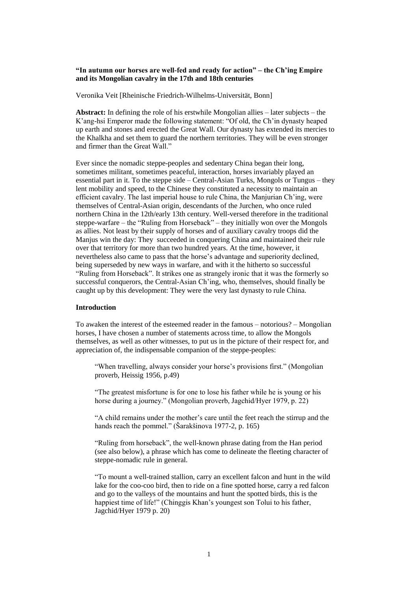# **"In autumn our horses are well-fed and ready for action" – the Ch'ing Empire and its Mongolian cavalry in the 17th and 18th centuries**

Veronika Veit [Rheinische Friedrich-Wilhelms-Universität, Bonn]

**Abstract:** In defining the role of his erstwhile Mongolian allies – later subjects – the K'ang-hsi Emperor made the following statement: "Of old, the Ch'in dynasty heaped up earth and stones and erected the Great Wall. Our dynasty has extended its mercies to the Khalkha and set them to guard the northern territories. They will be even stronger and firmer than the Great Wall."

Ever since the nomadic steppe-peoples and sedentary China began their long, sometimes militant, sometimes peaceful, interaction, horses invariably played an essential part in it. To the steppe side – Central-Asian Turks, Mongols or Tungus – they lent mobility and speed, to the Chinese they constituted a necessity to maintain an efficient cavalry. The last imperial house to rule China, the Manjurian Ch'ing, were themselves of Central-Asian origin, descendants of the Jurchen, who once ruled northern China in the 12th/early 13th century. Well-versed therefore in the traditional steppe-warfare – the "Ruling from Horseback" – they initially won over the Mongols as allies. Not least by their supply of horses and of auxiliary cavalry troops did the Manjus win the day: They succeeded in conquering China and maintained their rule over that territory for more than two hundred years. At the time, however, it nevertheless also came to pass that the horse's advantage and superiority declined, being superseded by new ways in warfare, and with it the hitherto so successful "Ruling from Horseback". It strikes one as strangely ironic that it was the formerly so successful conquerors, the Central-Asian Ch'ing, who, themselves, should finally be caught up by this development: They were the very last dynasty to rule China.

### **Introduction**

To awaken the interest of the esteemed reader in the famous – notorious? – Mongolian horses, I have chosen a number of statements across time, to allow the Mongols themselves, as well as other witnesses, to put us in the picture of their respect for, and appreciation of, the indispensable companion of the steppe-peoples:

"When travelling, always consider your horse's provisions first." (Mongolian proverb, Heissig 1956, p.49)

"The greatest misfortune is for one to lose his father while he is young or his horse during a journey." (Mongolian proverb, Jagchid/Hyer 1979, p. 22)

"A child remains under the mother's care until the feet reach the stirrup and the hands reach the pommel." (Šarakšinova 1977-2, p. 165)

"Ruling from horseback", the well-known phrase dating from the Han period (see also below), a phrase which has come to delineate the fleeting character of steppe-nomadic rule in general.

"To mount a well-trained stallion, carry an excellent falcon and hunt in the wild lake for the coo-coo bird, then to ride on a fine spotted horse, carry a red falcon and go to the valleys of the mountains and hunt the spotted birds, this is the happiest time of life!" (Chinggis Khan's youngest son Tolui to his father, Jagchid/Hyer 1979 p. 20)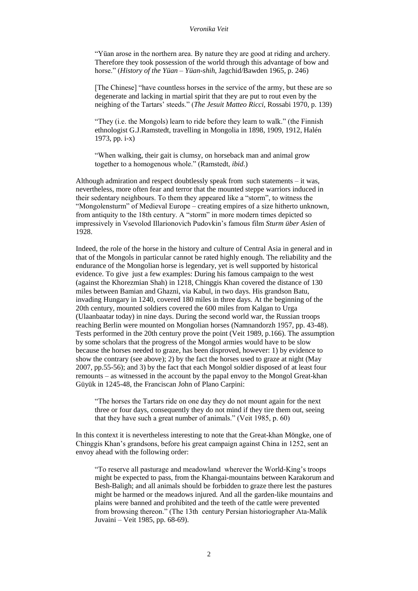"Yüan arose in the northern area. By nature they are good at riding and archery. Therefore they took possession of the world through this advantage of bow and horse." (*History of the Yüan – Yüan-shih*, Jagchid/Bawden 1965, p. 246)

[The Chinese] "have countless horses in the service of the army, but these are so degenerate and lacking in martial spirit that they are put to rout even by the neighing of the Tartars' steeds." (*The Jesuit Matteo Ricci*, Rossabi 1970, p. 139)

"They (i.e. the Mongols) learn to ride before they learn to walk." (the Finnish ethnologist G.J.Ramstedt, travelling in Mongolia in 1898, 1909, 1912, Halén 1973, pp. i-x)

"When walking, their gait is clumsy, on horseback man and animal grow together to a homogenous whole." (Ramstedt, *ibid*.)

Although admiration and respect doubtlessly speak from such statements – it was, nevertheless, more often fear and terror that the mounted steppe warriors induced in their sedentary neighbours. To them they appeared like a "storm", to witness the "Mongolensturm" of Medieval Europe – creating empires of a size hitherto unknown, from antiquity to the 18th century. A "storm" in more modern times depicted so impressively in Vsevolod Illarionovich Pudovkin's famous film *Sturm über Asien* of 1928.

Indeed, the role of the horse in the history and culture of Central Asia in general and in that of the Mongols in particular cannot be rated highly enough. The reliability and the endurance of the Mongolian horse is legendary, yet is well supported by historical evidence. To give just a few examples: During his famous campaign to the west (against the Khorezmian Shah) in 1218, Chinggis Khan covered the distance of 130 miles between Bamian and Ghazni, via Kabul, in two days. His grandson Batu, invading Hungary in 1240, covered 180 miles in three days. At the beginning of the 20th century, mounted soldiers covered the 600 miles from Kalgan to Urga (Ulaanbaatar today) in nine days. During the second world war, the Russian troops reaching Berlin were mounted on Mongolian horses (Namnandorzh 1957, pp. 43-48). Tests performed in the 20th century prove the point (Veit 1989, p.166). The assumption by some scholars that the progress of the Mongol armies would have to be slow because the horses needed to graze, has been disproved, however: 1) by evidence to show the contrary (see above); 2) by the fact the horses used to graze at night (May 2007, pp.55-56); and 3) by the fact that each Mongol soldier disposed of at least four remounts – as witnessed in the account by the papal envoy to the Mongol Great-khan Güyük in 1245-48, the Franciscan John of Plano Carpini:

"The horses the Tartars ride on one day they do not mount again for the next three or four days, consequently they do not mind if they tire them out, seeing that they have such a great number of animals." (Veit 1985, p. 60)

In this context it is nevertheless interesting to note that the Great-khan Möngke, one of Chinggis Khan's grandsons, before his great campaign against China in 1252, sent an envoy ahead with the following order:

"To reserve all pasturage and meadowland wherever the World-King's troops might be expected to pass, from the Khangai-mountains between Karakorum and Besh-Baligh; and all animals should be forbidden to graze there lest the pastures might be harmed or the meadows injured. And all the garden-like mountains and plains were banned and prohibited and the teeth of the cattle were prevented from browsing thereon." (The 13th century Persian historiographer Ata-Malik Juvaini – Veit 1985, pp. 68-69).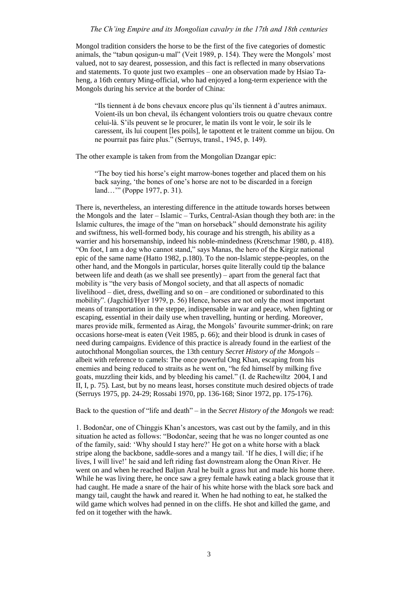## *The Ch'ing Empire and its Mongolian cavalry in the 17th and 18th centuries*

Mongol tradition considers the horse to be the first of the five categories of domestic animals, the "tabun qosigun-u mal" (Veit 1989, p. 154). They were the Mongols' most valued, not to say dearest, possession, and this fact is reflected in many observations and statements. To quote just two examples – one an observation made by Hsiao Taheng, a 16th century Ming-official, who had enjoyed a long-term experience with the Mongols during his service at the border of China:

"Ils tiennent à de bons chevaux encore plus qu'ils tiennent à d'autres animaux. Voient-ils un bon cheval, ils échangent volontiers trois ou quatre chevaux contre celui-là. S'ils peuvent se le procurer, le matin ils vont le voir, le soir ils le caressent, ils lui coupent [les poils], le tapottent et le traitent comme un bijou. On ne pourrait pas faire plus." (Serruys, transl., 1945, p. 149).

The other example is taken from from the Mongolian Dzangar epic:

"The boy tied his horse's eight marrow-bones together and placed them on his back saying, 'the bones of one's horse are not to be discarded in a foreign land…'" (Poppe 1977, p. 31).

There is, nevertheless, an interesting difference in the attitude towards horses between the Mongols and the later – Islamic – Turks, Central-Asian though they both are: in the Islamic cultures, the image of the "man on horseback" should demonstrate his agility and swiftness, his well-formed body, his courage and his strength, his ability as a warrier and his horsemanship, indeed his noble-mindedness (Kretschmar 1980, p. 418). "On foot, I am a dog who cannot stand," says Manas, the hero of the Kirgiz national epic of the same name (Hatto 1982, p.180). To the non-Islamic steppe-peoples, on the other hand, and the Mongols in particular, horses quite literally could tip the balance between life and death (as we shall see presently) – apart from the general fact that mobility is "the very basis of Mongol society, and that all aspects of nomadic livelihood – diet, dress, dwelling and so on – are conditioned or subordinated to this mobility". (Jagchid/Hyer 1979, p. 56) Hence, horses are not only the most important means of transportation in the steppe, indispensable in war and peace, when fighting or escaping, essential in their daily use when travelling, hunting or herding. Moreover, mares provide milk, fermented as Airag, the Mongols' favourite summer-drink; on rare occasions horse-meat is eaten (Veit 1985, p. 66); and their blood is drunk in cases of need during campaigns. Evidence of this practice is already found in the earliest of the autochthonal Mongolian sources, the 13th century *Secret History of the Mongols* – albeit with reference to camels: The once powerful Ong Khan, escaping from his enemies and being reduced to straits as he went on, "he fed himself by milking five goats, muzzling their kids, and by bleeding his camel." (I. de Rachewiltz 2004, I and II, I, p. 75). Last, but by no means least, horses constitute much desired objects of trade (Serruys 1975, pp. 24-29; Rossabi 1970, pp. 136-168; Sinor 1972, pp. 175-176).

Back to the question of "life and death" – in the *Secret History of the Mongols* we read:

1. Bodončar, one of Chinggis Khan's ancestors, was cast out by the family, and in this situation he acted as follows: "Bodončar, seeing that he was no longer counted as one of the family, said: 'Why should I stay here?' He got on a white horse with a black stripe along the backbone, saddle-sores and a mangy tail. 'If he dies, I will die; if he lives, I will live!' he said and left riding fast downstream along the Onan River. He went on and when he reached Baljun Aral he built a grass hut and made his home there. While he was living there, he once saw a grey female hawk eating a black grouse that it had caught. He made a snare of the hair of his white horse with the black sore back and mangy tail, caught the hawk and reared it. When he had nothing to eat, he stalked the wild game which wolves had penned in on the cliffs. He shot and killed the game, and fed on it together with the hawk.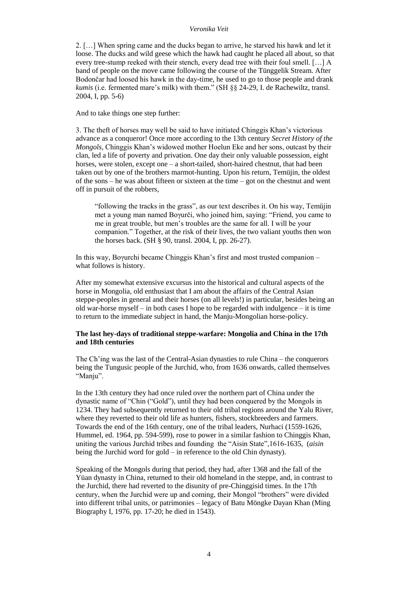2. […] When spring came and the ducks began to arrive, he starved his hawk and let it loose. The ducks and wild geese which the hawk had caught he placed all about, so that every tree-stump reeked with their stench, every dead tree with their foul smell. […] A band of people on the move came following the course of the Tünggelik Stream. After Bodončar had loosed his hawk in the day-time, he used to go to those people and drank *kumis* (i.e. fermented mare's milk) with them." (SH §§ 24-29, I. de Rachewiltz, transl. 2004, I, pp. 5-6)

And to take things one step further:

3. The theft of horses may well be said to have initiated Chinggis Khan's victorious advance as a conqueror! Once more according to the 13th century *Secret History of the Mongols*, Chinggis Khan's widowed mother Hoelun Eke and her sons, outcast by their clan, led a life of poverty and privation. One day their only valuable possession, eight horses, were stolen, except one – a short-tailed, short-haired chestnut, that had been taken out by one of the brothers marmot-hunting. Upon his return, Temüjin, the oldest of the sons – he was about fifteen or sixteen at the time – got on the chestnut and went off in pursuit of the robbers,

"following the tracks in the grass", as our text describes it. On his way, Temüjin met a young man named Boγurči, who joined him, saying: "Friend, you came to me in great trouble, but men's troubles are the same for all. I will be your companion." Together, at the risk of their lives, the two valiant youths then won the horses back. (SH § 90, transl. 2004, I, pp. 26-27).

In this way, Boγurchi became Chinggis Khan's first and most trusted companion – what follows is history.

After my somewhat extensive excursus into the historical and cultural aspects of the horse in Mongolia, old enthusiast that I am about the affairs of the Central Asian steppe-peoples in general and their horses (on all levels!) in particular, besides being an old war-horse myself – in both cases I hope to be regarded with indulgence – it is time to return to the immediate subject in hand, the Manju-Mongolian horse-policy.

# **The last hey-days of traditional steppe-warfare: Mongolia and China in the 17th and 18th centuries**

The Ch'ing was the last of the Central-Asian dynasties to rule China – the conquerors being the Tungusic people of the Jurchid, who, from 1636 onwards, called themselves "Manju".

In the 13th century they had once ruled over the northern part of China under the dynastic name of "Chin ("Gold"), until they had been conquered by the Mongols in 1234. They had subsequently returned to their old tribal regions around the Yalu River, where they reverted to their old life as hunters, fishers, stockbreeders and farmers. Towards the end of the 16th century, one of the tribal leaders, Nurhaci (1559-1626, Hummel, ed. 1964, pp. 594-599), rose to power in a similar fashion to Chinggis Khan, uniting the various Jurchid tribes and founding the "Aisin State",1616-1635, (*aisin* being the Jurchid word for gold – in reference to the old Chin dynasty).

Speaking of the Mongols during that period, they had, after 1368 and the fall of the Yüan dynasty in China, returned to their old homeland in the steppe, and, in contrast to the Jurchid, there had reverted to the disunity of pre-Chinggisid times. In the 17th century, when the Jurchid were up and coming, their Mongol "brothers" were divided into different tribal units, or patrimonies – legacy of Batu Möngke Dayan Khan (Ming Biography I, 1976, pp. 17-20; he died in 1543).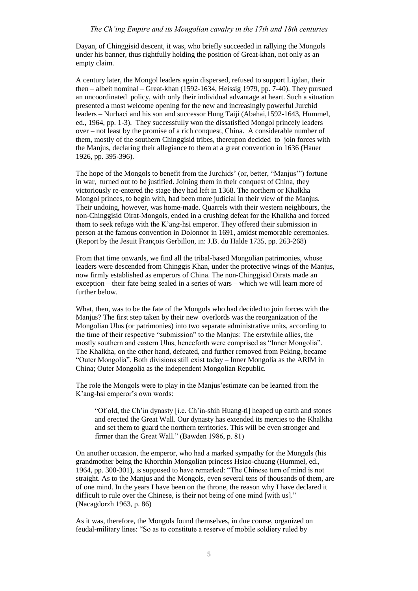Dayan, of Chinggisid descent, it was, who briefly succeeded in rallying the Mongols under his banner, thus rightfully holding the position of Great-khan, not only as an empty claim.

A century later, the Mongol leaders again dispersed, refused to support Ligdan, their then – albeit nominal – Great-khan (1592-1634, Heissig 1979, pp. 7-40). They pursued an uncoordinated policy, with only their individual advantage at heart. Such a situation presented a most welcome opening for the new and increasingly powerful Jurchid leaders – Nurhaci and his son and successor Hung Taiji (Abahai,1592-1643, Hummel, ed., 1964, pp. 1-3). They successfully won the dissatisfied Mongol princely leaders over – not least by the promise of a rich conquest, China. A considerable number of them, mostly of the southern Chinggisid tribes, thereupon decided to join forces with the Manjus, declaring their allegiance to them at a great convention in 1636 (Hauer 1926, pp. 395-396).

The hope of the Mongols to benefit from the Jurchids' (or, better, "Manjus'") fortune in war, turned out to be justified. Joining them in their conquest of China, they victoriously re-entered the stage they had left in 1368. The northern or Khalkha Mongol princes, to begin with, had been more judicial in their view of the Manjus. Their undoing, however, was home-made. Quarrels with their western neighbours, the non-Chinggisid Oirat-Mongols, ended in a crushing defeat for the Khalkha and forced them to seek refuge with the K'ang-hsi emperor. They offered their submission in person at the famous convention in Dolonnor in 1691, amidst memorable ceremonies. (Report by the Jesuit François Gerbillon, in: J.B. du Halde 1735, pp. 263-268)

From that time onwards, we find all the tribal-based Mongolian patrimonies, whose leaders were descended from Chinggis Khan, under the protective wings of the Manjus, now firmly established as emperors of China. The non-Chinggisid Oirats made an exception – their fate being sealed in a series of wars – which we will learn more of further below.

What, then, was to be the fate of the Mongols who had decided to join forces with the Manjus? The first step taken by their new overlords was the reorganization of the Mongolian Ulus (or patrimonies) into two separate administrative units, according to the time of their respective "submission" to the Manjus: The erstwhile allies, the mostly southern and eastern Ulus, henceforth were comprised as "Inner Mongolia". The Khalkha, on the other hand, defeated, and further removed from Peking, became "Outer Mongolia". Both divisions still exist today – Inner Mongolia as the ARIM in China; Outer Mongolia as the independent Mongolian Republic.

The role the Mongols were to play in the Manjus'estimate can be learned from the K'ang-hsi emperor's own words:

"Of old, the Ch'in dynasty [i.e. Ch'in-shih Huang-ti] heaped up earth and stones and erected the Great Wall. Our dynasty has extended its mercies to the Khalkha and set them to guard the northern territories. This will be even stronger and firmer than the Great Wall." (Bawden 1986, p. 81)

On another occasion, the emperor, who had a marked sympathy for the Mongols (his grandmother being the Khorchin Mongolian princess Hsiao-chuang (Hummel, ed., 1964, pp. 300-301), is supposed to have remarked: "The Chinese turn of mind is not straight. As to the Manjus and the Mongols, even several tens of thousands of them, are of one mind. In the years I have been on the throne, the reason why I have declared it difficult to rule over the Chinese, is their not being of one mind [with us]." (Nacagdorzh 1963, p. 86)

As it was, therefore, the Mongols found themselves, in due course, organized on feudal-military lines: "So as to constitute a reserve of mobile soldiery ruled by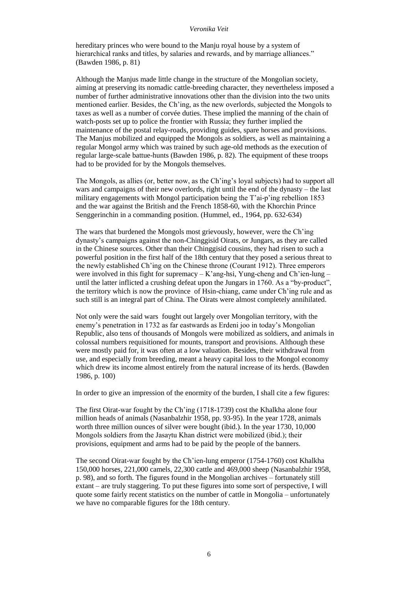hereditary princes who were bound to the Manju royal house by a system of hierarchical ranks and titles, by salaries and rewards, and by marriage alliances." (Bawden 1986, p. 81)

Although the Manjus made little change in the structure of the Mongolian society, aiming at preserving its nomadic cattle-breeding character, they nevertheless imposed a number of further administrative innovations other than the division into the two units mentioned earlier. Besides, the Ch'ing, as the new overlords, subjected the Mongols to taxes as well as a number of corvée duties. These implied the manning of the chain of watch-posts set up to police the frontier with Russia; they further implied the maintenance of the postal relay-roads, providing guides, spare horses and provisions. The Manjus mobilized and equipped the Mongols as soldiers, as well as maintaining a regular Mongol army which was trained by such age-old methods as the execution of regular large-scale battue-hunts (Bawden 1986, p. 82). The equipment of these troops had to be provided for by the Mongols themselves.

The Mongols, as allies (or, better now, as the Ch'ing's loyal subjects) had to support all wars and campaigns of their new overlords, right until the end of the dynasty – the last military engagements with Mongol participation being the T'ai-p'ing rebellion 1853 and the war against the British and the French 1858-60, with the Khorchin Prince Senggerinchin in a commanding position. (Hummel, ed., 1964, pp. 632-634)

The wars that burdened the Mongols most grievously, however, were the Ch'ing dynasty's campaigns against the non-Chinggisid Oirats, or Jungars, as they are called in the Chinese sources. Other than their Chinggisid cousins, they had risen to such a powerful position in the first half of the 18th century that they posed a serious threat to the newly established Ch'ing on the Chinese throne (Courant 1912). Three emperors were involved in this fight for supremacy – K'ang-hsi, Yung-cheng and Ch'ien-lung – until the latter inflicted a crushing defeat upon the Jungars in 1760. As a "by-product", the territory which is now the province of Hsin-chiang, came under Ch'ing rule and as such still is an integral part of China. The Oirats were almost completely annihilated.

Not only were the said wars fought out largely over Mongolian territory, with the enemy's penetration in 1732 as far eastwards as Erdeni joo in today's Mongolian Republic, also tens of thousands of Mongols were mobilized as soldiers, and animals in colossal numbers requisitioned for mounts, transport and provisions. Although these were mostly paid for, it was often at a low valuation. Besides, their withdrawal from use, and especially from breeding, meant a heavy capital loss to the Mongol economy which drew its income almost entirely from the natural increase of its herds. (Bawden 1986, p. 100)

In order to give an impression of the enormity of the burden, I shall cite a few figures:

The first Oirat-war fought by the Ch'ing (1718-1739) cost the Khalkha alone four million heads of animals (Nasanbalzhir 1958, pp. 93-95). In the year 1728, animals worth three million ounces of silver were bought (ibid.). In the year 1730, 10,000 Mongols soldiers from the Jasaγtu Khan district were mobilized (ibid.); their provisions, equipment and arms had to be paid by the people of the banners.

The second Oirat-war fought by the Ch'ien-lung emperor (1754-1760) cost Khalkha 150,000 horses, 221,000 camels, 22,300 cattle and 469,000 sheep (Nasanbalzhir 1958, p. 98), and so forth. The figures found in the Mongolian archives – fortunately still extant – are truly staggering. To put these figures into some sort of perspective, I will quote some fairly recent statistics on the number of cattle in Mongolia – unfortunately we have no comparable figures for the 18th century.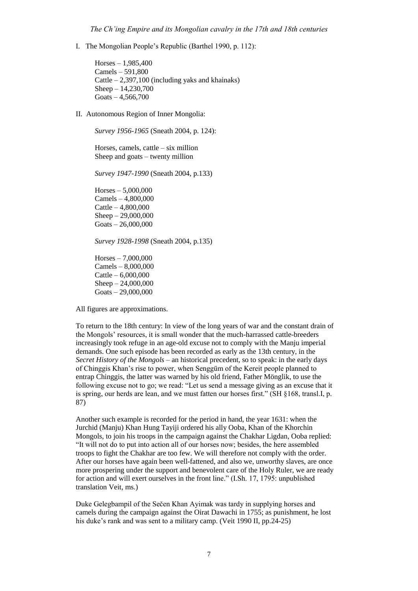I. The Mongolian People's Republic (Barthel 1990, p. 112):

Horses – 1,985,400 Camels – 591,800 Cattle – 2,397,100 (including yaks and khainaks) Sheep – 14,230,700 Goats  $-4,566,700$ 

II. Autonomous Region of Inner Mongolia:

*Survey 1956-1965* (Sneath 2004, p. 124):

Horses, camels, cattle – six million Sheep and goats – twenty million

*Survey 1947-1990* (Sneath 2004, p.133)

Horses – 5,000,000 Camels – 4,800,000 Cattle – 4,800,000 Sheep – 29,000,000 Goats – 26,000,000

*Survey 1928-1998* (Sneath 2004, p.135)

Horses – 7,000,000 Camels – 8,000,000 Cattle – 6,000,000 Sheep – 24,000,000 Goats – 29,000,000

All figures are approximations.

To return to the 18th century: In view of the long years of war and the constant drain of the Mongols' resources, it is small wonder that the much-harrassed cattle-breeders increasingly took refuge in an age-old excuse not to comply with the Manju imperial demands. One such episode has been recorded as early as the 13th century, in the *Secret History of the Mongols* – an historical precedent, so to speak: in the early days of Chinggis Khan's rise to power, when Senggüm of the Kereit people planned to entrap Chinggis, the latter was warned by his old friend, Father Mönglik, to use the following excuse not to go; we read: "Let us send a message giving as an excuse that it is spring, our herds are lean, and we must fatten our horses first." (SH §168, transl.I, p. 87)

Another such example is recorded for the period in hand, the year 1631: when the Jurchid (Manju) Khan Hung Tayiji ordered his ally Ooba, Khan of the Khorchin Mongols, to join his troops in the campaign against the Chakhar Ligdan, Ooba replied: "It will not do to put into action all of our horses now; besides, the here assembled troops to fight the Chakhar are too few. We will therefore not comply with the order. After our horses have again been well-fattened, and also we, unworthy slaves, are once more prospering under the support and benevolent care of the Holy Ruler, we are ready for action and will exert ourselves in the front line." (I.Sh. 17, 1795: unpublished translation Veit, ms.)

Duke Gelegbampil of the Sečen Khan Ayimak was tardy in supplying horses and camels during the campaign against the Oirat Dawachi in 1755; as punishment, he lost his duke's rank and was sent to a military camp. (Veit 1990 II, pp. 24-25)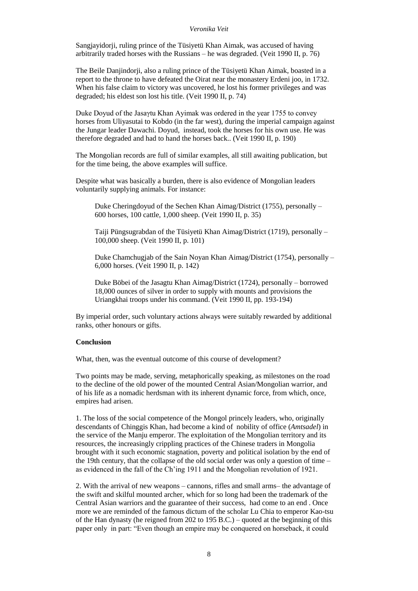Sangjayidorji, ruling prince of the Tüsiyetü Khan Aimak, was accused of having arbitrarily traded horses with the Russians – he was degraded. (Veit 1990 II, p. 76)

The Beile Danjindorji, also a ruling prince of the Tüsiyetü Khan Aimak, boasted in a report to the throne to have defeated the Oirat near the monastery Erdeni joo, in 1732. When his false claim to victory was uncovered, he lost his former privileges and was degraded; his eldest son lost his title. (Veit 1990 II, p. 74)

Duke Doyud of the Jasaγtu Khan Ayimak was ordered in the year 1755 to convey horses from Uliyasutai to Kobdo (in the far west), during the imperial campaign against the Jungar leader Dawachi. Doyud, instead, took the horses for his own use. He was therefore degraded and had to hand the horses back.. (Veit 1990 II, p. 190)

The Mongolian records are full of similar examples, all still awaiting publication, but for the time being, the above examples will suffice.

Despite what was basically a burden, there is also evidence of Mongolian leaders voluntarily supplying animals. For instance:

Duke Cheringdoyud of the Sechen Khan Aimag/District (1755), personally – 600 horses, 100 cattle, 1,000 sheep. (Veit 1990 II, p. 35)

Taiji Püngsugrabdan of the Tüsiyetü Khan Aimag/District (1719), personally – 100,000 sheep. (Veit 1990 II, p. 101)

Duke Chamchugjab of the Sain Noyan Khan Aimag/District (1754), personally – 6,000 horses. (Veit 1990 II, p. 142)

Duke Böbei of the Jasagtu Khan Aimag/District (1724), personally – borrowed 18,000 ounces of silver in order to supply with mounts and provisions the Uriangkhai troops under his command. (Veit 1990 II, pp. 193-194)

By imperial order, such voluntary actions always were suitably rewarded by additional ranks, other honours or gifts.

## **Conclusion**

What, then, was the eventual outcome of this course of development?

Two points may be made, serving, metaphorically speaking, as milestones on the road to the decline of the old power of the mounted Central Asian/Mongolian warrior, and of his life as a nomadic herdsman with its inherent dynamic force, from which, once, empires had arisen.

1. The loss of the social competence of the Mongol princely leaders, who, originally descendants of Chinggis Khan, had become a kind of nobility of office (*Amtsadel*) in the service of the Manju emperor. The exploitation of the Mongolian territory and its resources, the increasingly crippling practices of the Chinese traders in Mongolia brought with it such economic stagnation, poverty and political isolation by the end of the 19th century, that the collapse of the old social order was only a question of time – as evidenced in the fall of the Ch'ing 1911 and the Mongolian revolution of 1921.

2. With the arrival of new weapons – cannons, rifles and small arms– the advantage of the swift and skilful mounted archer, which for so long had been the trademark of the Central Asian warriors and the guarantee of their success, had come to an end . Once more we are reminded of the famous dictum of the scholar Lu Chia to emperor Kao-tsu of the Han dynasty (he reigned from 202 to 195 B.C.) – quoted at the beginning of this paper only in part: "Even though an empire may be conquered on horseback, it could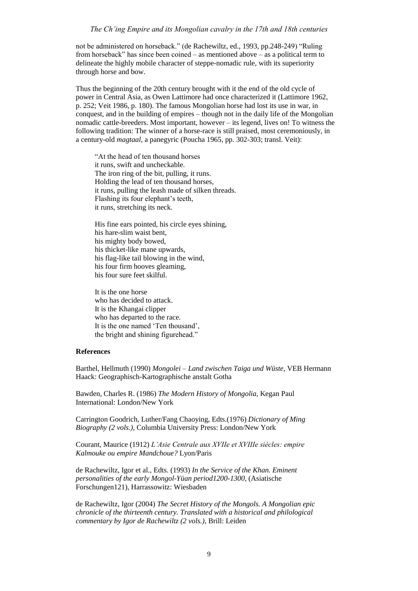#### *The Ch'ing Empire and its Mongolian cavalry in the 17th and 18th centuries*

not be administered on horseback." (de Rachewiltz, ed., 1993, pp.248-249) "Ruling from horseback" has since been coined – as mentioned above – as a political term to delineate the highly mobile character of steppe-nomadic rule, with its superiority through horse and bow.

Thus the beginning of the 20th century brought with it the end of the old cycle of power in Central Asia, as Owen Lattimore had once characterized it (Lattimore 1962, p. 252; Veit 1986, p. 180). The famous Mongolian horse had lost its use in war, in conquest, and in the building of empires – though not in the daily life of the Mongolian nomadic cattle-breeders. Most important, however – its legend, lives on! To witness the following tradition: The winner of a horse-race is still praised, most ceremoniously, in a century-old *magtaal*, a panegyric (Poucha 1965, pp. 302-303; transl. Veit):

"At the head of ten thousand horses it runs, swift and uncheckable. The iron ring of the bit, pulling, it runs. Holding the lead of ten thousand horses, it runs, pulling the leash made of silken threads. Flashing its four elephant's teeth, it runs, stretching its neck.

His fine ears pointed, his circle eyes shining, his hare-slim waist bent, his mighty body bowed, his thicket-like mane upwards, his flag-like tail blowing in the wind, his four firm hooves gleaming, his four sure feet skilful.

It is the one horse who has decided to attack. It is the Khangai clipper who has departed to the race. It is the one named 'Ten thousand', the bright and shining figurehead."

# **References**

Barthel, Hellmuth (1990) *Mongolei – Land zwischen Taiga und Wüste,* VEB Hermann Haack: Geographisch-Kartographische anstalt Gotha

Bawden, Charles R. (1986) *The Modern History of Mongolia*, Kegan Paul International: London/New York

Carrington Goodrich, Luther/Fang Chaoying, Edts.(1976) *Dictionary of Ming Biography (2 vols.)*, Columbia University Press: London/New York

Courant, Maurice (1912) *L'Asie Centrale aux XVIIe et XVIIIe siècles: empire Kalmouke ou empire Mandchoue?* Lyon/Paris

de Rachewiltz, Igor et al., Edts. (1993) *In the Service of the Khan. Eminent personalities of the early Mongol-Yüan period1200-1300*, (Asiatische Forschungen121), Harrassowitz: Wiesbaden

de Rachewiltz, Igor (2004) *The Secret History of the Mongols. A Mongolian epic chronicle of the thirteenth century. Translated with a historical and philological commentary by Igor de Rachewiltz (2 vols.)*, Brill: Leiden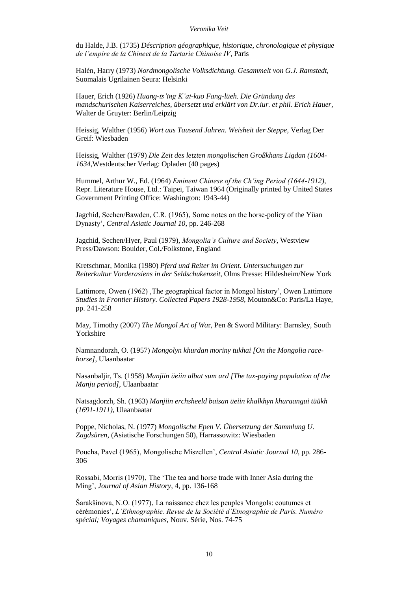du Halde, J.B. (1735) *Déscription géographique, historique, chronologique et physique de l'empire de la Chineet de la Tartarie Chinoise IV*, Paris

Halén, Harry (1973) *Nordmongolische Volksdichtung. Gesammelt von G.J. Ramstedt,*  Suomalais Ugrilainen Seura: Helsinki

Hauer, Erich (1926) *Huang-ts'ing K'ai-kuo Fang-lüeh. Die Gründung des mandschurischen Kaiserreiches, übersetzt und erklärt von Dr.iur. et phil. Erich Hauer*, Walter de Gruyter: Berlin/Leipzig

Heissig, Walther (1956) *Wort aus Tausend Jahren. Weisheit der Steppe*, Verlag Der Greif: Wiesbaden

Heissig, Walther (1979) *Die Zeit des letzten mongolischen Großkhans Ligdan (1604- 1634*,Westdeutscher Verlag: Opladen (40 pages)

Hummel, Arthur W., Ed. (1964) *Eminent Chinese of the Ch'ing Period (1644-1912)*, Repr. Literature House, Ltd.: Taipei, Taiwan 1964 (Originally printed by United States Government Printing Office: Washington: 1943-44)

Jagchid, Sechen/Bawden, C.R. (1965), Some notes on the horse-policy of the Yüan Dynasty', *Central Asiatic Journal 10*, pp. 246-268

Jagchid, Sechen/Hyer, Paul (1979), *Mongolia's Culture and Society*, Westview Press/Dawson: Boulder, Col./Folkstone, England

Kretschmar, Monika (1980) *Pferd und Reiter im Orient. Untersuchungen zur Reiterkultur Vorderasiens in der Seldschukenzeit*, Olms Presse: Hildesheim/New York

Lattimore, Owen  $(1962)$ , The geographical factor in Mongol history', Owen Lattimore *Studies in Frontier History. Collected Papers 1928-1958,* Mouton&Co: Paris/La Haye, pp. 241-258

May, Timothy (2007) *The Mongol Art of Wa*r*,* Pen & Sword Military: Barnsley, South Yorkshire

Namnandorzh, O. (1957) *Mongolyn khurdan moriny tukhai [On the Mongolia racehorse]*, Ulaanbaatar

Nasanbaljir, Ts. (1958) *Manjiin üeiin albat sum ard [The tax-paying population of the Manju period]*, Ulaanbaatar

Natsagdorzh, Sh. (1963) *Manjiin erchsheeld baisan üeiin khalkhyn khuraangui tüükh (1691-1911)*, Ulaanbaatar

Poppe, Nicholas, N. (1977) *Mongolische Epen V. Übersetzung der Sammlung U. Zagdsüren*, (Asiatische Forschungen 50), Harrassowitz: Wiesbaden

Poucha, Pavel (1965), Mongolische Miszellen', *Central Asiatic Journal 10*, pp. 286-306

Rossabi, Morris (1970), The 'The tea and horse trade with Inner Asia during the Ming', *Journal of Asian History*, 4, pp. 136-168

Šarakšinova, N.O. (1977), La naissance chez les peuples Mongols: coutumes et cérémonies', *L'Ethnographie. Revue de la Société d'Etnographie de Paris. Numéro spécial; Voyages chamaniques*, Nouv. Série, Nos. 74-75